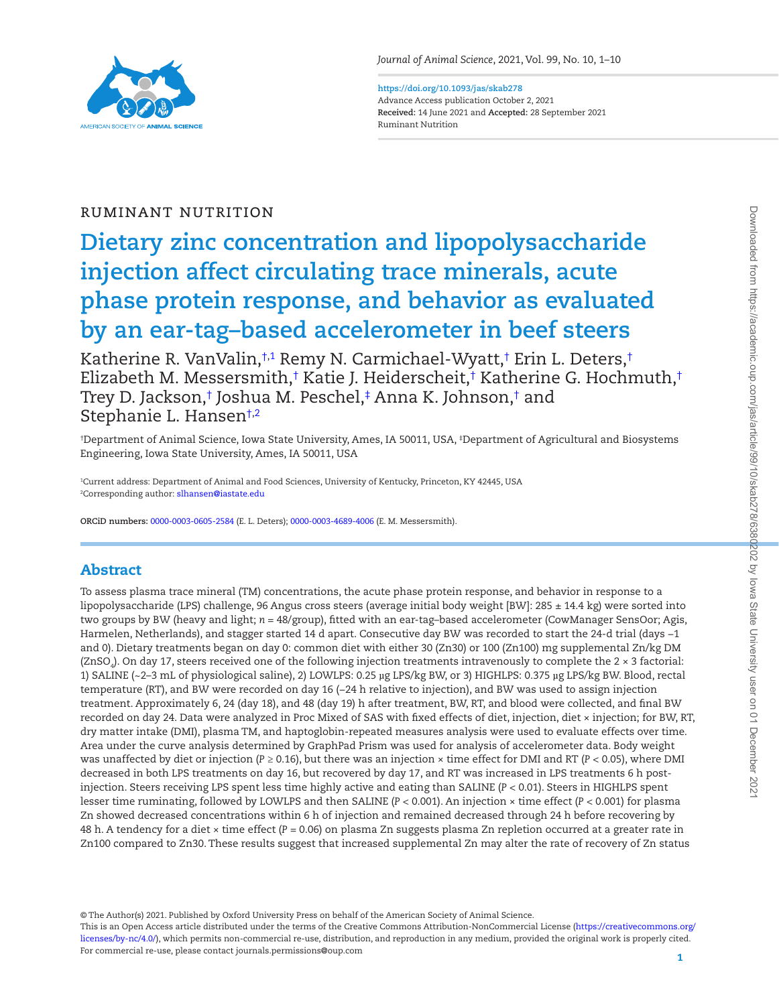

**<https://doi.org/10.1093/jas/skab278>** Advance Access publication October 2, 2021 **Received:** 14 June 2021 and **Accepted:** 28 September 2021 Ruminant Nutrition

# Ruminant Nutrition

# **Dietary zinc concentration and lipopolysaccharide injection affect circulating trace minerals, acute phase protein response, and behavior as evaluated by an ear-tag–based accelerometer in beef steers**

Katherine R. VanValin,[†](#page-0-0)1 Remy N. Carmichael-Wyatt,† [Erin L. Deters,](https://orcid.org/0000-0003-0605-2584)† [Elizabeth M. Messersmith,](https://orcid.org/0000-0003-4689-4006)[†](#page-0-0) Katie J. Heiderscheit,† Katherine G. Hochmuth,† Trey D. Jackson,[†](#page-0-0) Joshua M. Peschel,[‡](#page-0-2) Anna K. Johnson,† and Stephanie L. Hanse[n†](#page-0-0)[,2](#page-0-3)

<span id="page-0-2"></span><span id="page-0-0"></span>† Department of Animal Science, Iowa State University, Ames, IA 50011, USA, ‡ Department of Agricultural and Biosystems Engineering, Iowa State University, Ames, IA 50011, USA

<span id="page-0-3"></span><span id="page-0-1"></span>1 Current address: Department of Animal and Food Sciences, University of Kentucky, Princeton, KY 42445, USA <sup>2</sup>Corresponding author: <mark>slhansen@iastate.edu</mark>

**ORCiD numbers:** [0000-0003-0605-2584](https://orcid.org/0000-0003-0605-2584) (E. L. Deters); [0000-0003-4689-4006](https://orcid.org/0000-0003-4689-4006) (E. M. Messersmith).

# Abstract

To assess plasma trace mineral (TM) concentrations, the acute phase protein response, and behavior in response to a lipopolysaccharide (LPS) challenge, 96 Angus cross steers (average initial body weight [BW]: 285 ± 14.4 kg) were sorted into two groups by BW (heavy and light; *n* = 48/group), fitted with an ear-tag–based accelerometer (CowManager SensOor; Agis, Harmelen, Netherlands), and stagger started 14 d apart. Consecutive day BW was recorded to start the 24-d trial (days −1 and 0). Dietary treatments began on day 0: common diet with either 30 (Zn30) or 100 (Zn100) mg supplemental Zn/kg DM (ZnSO $_{4}$ ). On day 17, steers received one of the following injection treatments intravenously to complete the 2 × 3 factorial: 1) SALINE (~2–3 mL of physiological saline), 2) LOWLPS: 0.25 µg LPS/kg BW, or 3) HIGHLPS: 0.375 µg LPS/kg BW. Blood, rectal temperature (RT), and BW were recorded on day 16 (−24 h relative to injection), and BW was used to assign injection treatment. Approximately 6, 24 (day 18), and 48 (day 19) h after treatment, BW, RT, and blood were collected, and final BW recorded on day 24. Data were analyzed in Proc Mixed of SAS with fixed effects of diet, injection, diet × injection; for BW, RT, dry matter intake (DMI), plasma TM, and haptoglobin-repeated measures analysis were used to evaluate effects over time. Area under the curve analysis determined by GraphPad Prism was used for analysis of accelerometer data. Body weight was unaffected by diet or injection (*P* ≥ 0.16), but there was an injection × time effect for DMI and RT (*P* < 0.05), where DMI decreased in both LPS treatments on day 16, but recovered by day 17, and RT was increased in LPS treatments 6 h postinjection. Steers receiving LPS spent less time highly active and eating than SALINE (*P* < 0.01). Steers in HIGHLPS spent lesser time ruminating, followed by LOWLPS and then SALINE (*P* < 0.001). An injection × time effect (*P* < 0.001) for plasma Zn showed decreased concentrations within 6 h of injection and remained decreased through 24 h before recovering by 48 h. A tendency for a diet × time effect (*P* = 0.06) on plasma Zn suggests plasma Zn repletion occurred at a greater rate in Zn100 compared to Zn30. These results suggest that increased supplemental Zn may alter the rate of recovery of Zn status

© The Author(s) 2021. Published by Oxford University Press on behalf of the American Society of Animal Science.

This is an Open Access article distributed under the terms of the Creative Commons Attribution-NonCommercial License ([https://creativecommons.org/](https://creativecommons.org/licenses/by-nc/4.0/) [licenses/by-nc/4.0/\)](https://creativecommons.org/licenses/by-nc/4.0/), which permits non-commercial re-use, distribution, and reproduction in any medium, provided the original work is properly cited. For commercial re-use, please contact journals.permissions@oup.com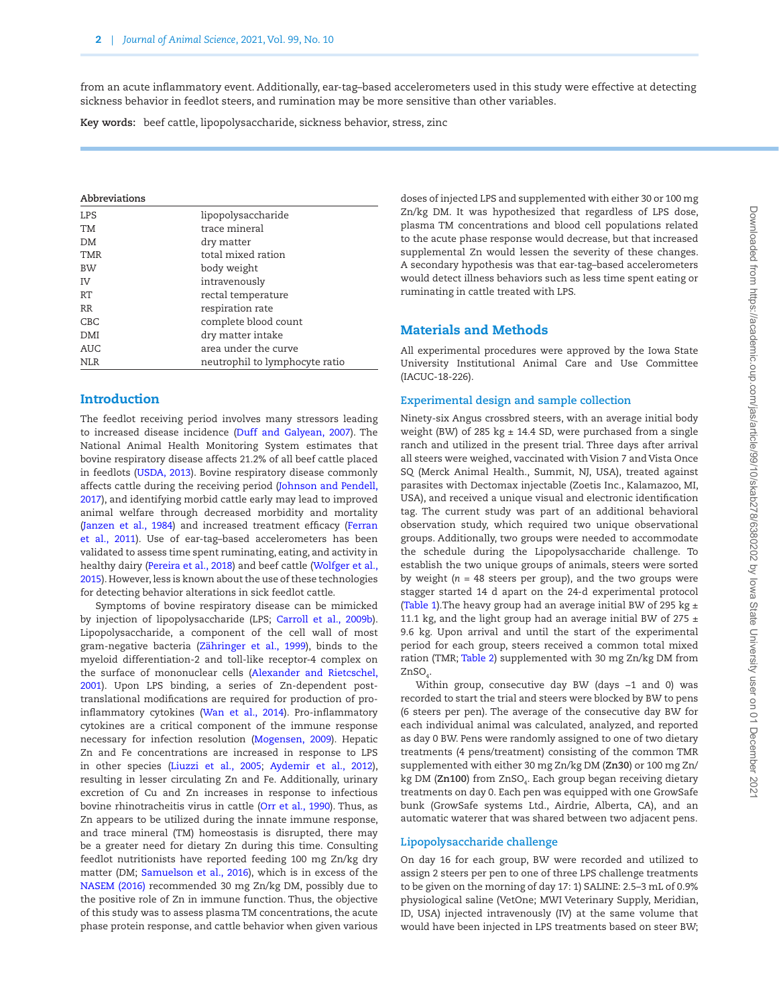from an acute inflammatory event. Additionally, ear-tag–based accelerometers used in this study were effective at detecting sickness behavior in feedlot steers, and rumination may be more sensitive than other variables.

**Key words:** beef cattle, lipopolysaccharide, sickness behavior, stress, zinc

#### **Abbreviations**

L

| <b>LPS</b> | lipopolysaccharide             |
|------------|--------------------------------|
| TM         | trace mineral                  |
| DM         | dry matter                     |
| TMR        | total mixed ration             |
| <b>BW</b>  | body weight                    |
| TV.        | intravenously                  |
| RT         | rectal temperature             |
| RR         | respiration rate               |
| <b>CBC</b> | complete blood count           |
| DMI        | dry matter intake              |
| <b>AUC</b> | area under the curve           |
| <b>NLR</b> | neutrophil to lymphocyte ratio |

# Introduction

The feedlot receiving period involves many stressors leading to increased disease incidence [\(Duff and Galyean, 2007\)](#page-8-0). The National Animal Health Monitoring System estimates that bovine respiratory disease affects 21.2% of all beef cattle placed in feedlots ([USDA, 2013](#page-9-0)). Bovine respiratory disease commonly affects cattle during the receiving period [\(Johnson and Pendell,](#page-8-1) [2017\)](#page-8-1), and identifying morbid cattle early may lead to improved animal welfare through decreased morbidity and mortality (Janzen et al., 1984) and increased treatment efficacy [\(Ferran](#page-8-3) [et al., 2011\)](#page-8-3). Use of ear-tag–based accelerometers has been validated to assess time spent ruminating, eating, and activity in healthy dairy ([Pereira et al., 2018\)](#page-8-4) and beef cattle [\(Wolfger et al.,](#page-9-1) [2015\)](#page-9-1). However, less is known about the use of these technologies for detecting behavior alterations in sick feedlot cattle.

Symptoms of bovine respiratory disease can be mimicked by injection of lipopolysaccharide (LPS; [Carroll et al., 2009b\)](#page-8-5). Lipopolysaccharide, a component of the cell wall of most gram-negative bacteria ([Zähringer et al., 1999](#page-9-2)), binds to the myeloid differentiation-2 and toll-like receptor-4 complex on the surface of mononuclear cells ([Alexander and Rietcschel,](#page-8-6) [2001\)](#page-8-6). Upon LPS binding, a series of Zn-dependent posttranslational modifications are required for production of proinflammatory cytokines ([Wan et al., 2014](#page-9-3)). Pro-inflammatory cytokines are a critical component of the immune response necessary for infection resolution [\(Mogensen, 2009\)](#page-8-7). Hepatic Zn and Fe concentrations are increased in response to LPS in other species [\(Liuzzi et al., 2005;](#page-8-8) [Aydemir et al., 2012\)](#page-8-9), resulting in lesser circulating Zn and Fe. Additionally, urinary excretion of Cu and Zn increases in response to infectious bovine rhinotracheitis virus in cattle ([Orr et al., 1990\)](#page-8-10). Thus, as Zn appears to be utilized during the innate immune response, and trace mineral (TM) homeostasis is disrupted, there may be a greater need for dietary Zn during this time. Consulting feedlot nutritionists have reported feeding 100 mg Zn/kg dry matter (DM; [Samuelson et al., 2016](#page-9-4)), which is in excess of the [NASEM \(2016\)](#page-8-11) recommended 30 mg Zn/kg DM, possibly due to the positive role of Zn in immune function. Thus, the objective of this study was to assess plasma TM concentrations, the acute phase protein response, and cattle behavior when given various

doses of injected LPS and supplemented with either 30 or 100 mg Zn/kg DM. It was hypothesized that regardless of LPS dose, plasma TM concentrations and blood cell populations related to the acute phase response would decrease, but that increased supplemental Zn would lessen the severity of these changes. A secondary hypothesis was that ear-tag–based accelerometers would detect illness behaviors such as less time spent eating or ruminating in cattle treated with LPS.

# Materials and Methods

All experimental procedures were approved by the Iowa State University Institutional Animal Care and Use Committee (IACUC-18-226).

## **Experimental design and sample collection**

Ninety-six Angus crossbred steers, with an average initial body weight (BW) of 285 kg  $\pm$  14.4 SD, were purchased from a single ranch and utilized in the present trial. Three days after arrival all steers were weighed, vaccinated with Vision 7 and Vista Once SQ (Merck Animal Health., Summit, NJ, USA), treated against parasites with Dectomax injectable (Zoetis Inc., Kalamazoo, MI, USA), and received a unique visual and electronic identification tag. The current study was part of an additional behavioral observation study, which required two unique observational groups. Additionally, two groups were needed to accommodate the schedule during the Lipopolysaccharide challenge. To establish the two unique groups of animals, steers were sorted by weight (*n* = 48 steers per group), and the two groups were stagger started 14 d apart on the 24-d experimental protocol [\(Table 1](#page-2-0)). The heavy group had an average initial BW of 295 kg  $\pm$ 11.1 kg, and the light group had an average initial BW of 275  $\pm$ 9.6 kg. Upon arrival and until the start of the experimental period for each group, steers received a common total mixed ration (TMR; [Table 2\)](#page-2-1) supplemented with 30 mg Zn/kg DM from  $ZnSO<sub>4</sub>$ .

Within group, consecutive day BW (days −1 and 0) was recorded to start the trial and steers were blocked by BW to pens (6 steers per pen). The average of the consecutive day BW for each individual animal was calculated, analyzed, and reported as day 0 BW. Pens were randomly assigned to one of two dietary treatments (4 pens/treatment) consisting of the common TMR supplemented with either 30 mg Zn/kg DM (**Zn30**) or 100 mg Zn/ kg DM (**Zn100**) from ZnSO<sub>4</sub>. Each group began receiving dietary treatments on day 0. Each pen was equipped with one GrowSafe bunk (GrowSafe systems Ltd., Airdrie, Alberta, CA), and an automatic waterer that was shared between two adjacent pens.

# **Lipopolysaccharide challenge**

On day 16 for each group, BW were recorded and utilized to assign 2 steers per pen to one of three LPS challenge treatments to be given on the morning of day 17: 1) SALINE: 2.5–3 mL of 0.9% physiological saline (VetOne; MWI Veterinary Supply, Meridian, ID, USA) injected intravenously (IV) at the same volume that would have been injected in LPS treatments based on steer BW;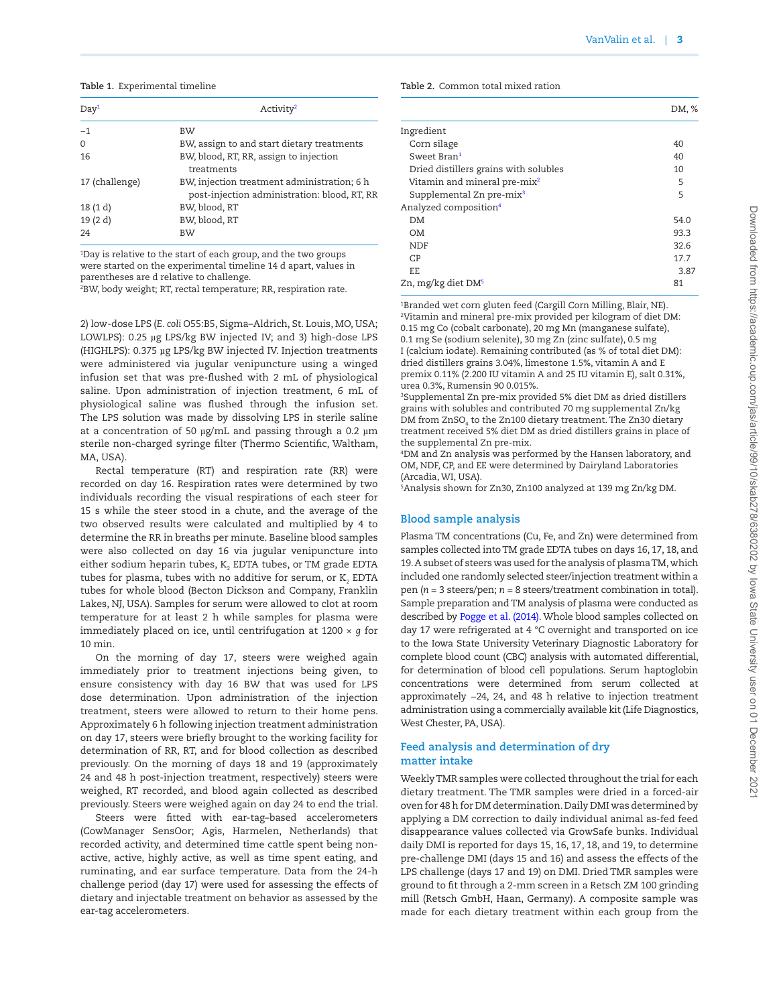#### <span id="page-2-0"></span>**Table 1.** Experimental timeline

| Day <sup>1</sup> | Activity <sup>2</sup>                                                                       |  |  |  |  |  |
|------------------|---------------------------------------------------------------------------------------------|--|--|--|--|--|
| $-1$             | <b>BW</b>                                                                                   |  |  |  |  |  |
| $\Omega$         | BW, assign to and start dietary treatments                                                  |  |  |  |  |  |
| 16               | BW, blood, RT, RR, assign to injection<br>treatments                                        |  |  |  |  |  |
| 17 (challenge)   | BW, injection treatment administration; 6 h<br>post-injection administration: blood, RT, RR |  |  |  |  |  |
| 18(1 d)          | BW, blood, RT                                                                               |  |  |  |  |  |
| 19(2d)           | BW, blood, RT                                                                               |  |  |  |  |  |
| 24               | <b>BW</b>                                                                                   |  |  |  |  |  |

<span id="page-2-2"></span>1 Day is relative to the start of each group, and the two groups were started on the experimental timeline 14 d apart, values in parentheses are d relative to challenge.

<span id="page-2-3"></span>2 BW, body weight; RT, rectal temperature; RR, respiration rate.

2) low-dose LPS (*E. coli* O55:B5, Sigma–Aldrich, St. Louis, MO, USA; LOWLPS): 0.25 µg LPS/kg BW injected IV; and 3) high-dose LPS (HIGHLPS): 0.375 µg LPS/kg BW injected IV. Injection treatments were administered via jugular venipuncture using a winged infusion set that was pre-flushed with 2 mL of physiological saline. Upon administration of injection treatment, 6 mL of physiological saline was flushed through the infusion set. The LPS solution was made by dissolving LPS in sterile saline at a concentration of 50  $\mu$ g/mL and passing through a 0.2  $\mu$ m sterile non-charged syringe filter (Thermo Scientific, Waltham, MA, USA).

Rectal temperature (RT) and respiration rate (RR) were recorded on day 16. Respiration rates were determined by two individuals recording the visual respirations of each steer for 15 s while the steer stood in a chute, and the average of the two observed results were calculated and multiplied by 4 to determine the RR in breaths per minute. Baseline blood samples were also collected on day 16 via jugular venipuncture into either sodium heparin tubes,  $\mathtt{K}_2$  EDTA tubes, or TM grade EDTA tubes for plasma, tubes with no additive for serum, or  $\text{K}_{_{2}}$  EDTA tubes for whole blood (Becton Dickson and Company, Franklin Lakes, NJ, USA). Samples for serum were allowed to clot at room temperature for at least 2 h while samples for plasma were immediately placed on ice, until centrifugation at 1200 × *g* for 10 min.

On the morning of day 17, steers were weighed again immediately prior to treatment injections being given, to ensure consistency with day 16 BW that was used for LPS dose determination. Upon administration of the injection treatment, steers were allowed to return to their home pens. Approximately 6 h following injection treatment administration on day 17, steers were briefly brought to the working facility for determination of RR, RT, and for blood collection as described previously. On the morning of days 18 and 19 (approximately 24 and 48 h post-injection treatment, respectively) steers were weighed, RT recorded, and blood again collected as described previously. Steers were weighed again on day 24 to end the trial.

Steers were fitted with ear-tag–based accelerometers (CowManager SensOor; Agis, Harmelen, Netherlands) that recorded activity, and determined time cattle spent being nonactive, active, highly active, as well as time spent eating, and ruminating, and ear surface temperature. Data from the 24-h challenge period (day 17) were used for assessing the effects of dietary and injectable treatment on behavior as assessed by the ear-tag accelerometers.

<span id="page-2-1"></span>**Table 2.** Common total mixed ration

|                                          | DM, % |
|------------------------------------------|-------|
| Ingredient                               |       |
| Corn silage                              | 40    |
| Sweet Bran <sup>1</sup>                  | 40    |
| Dried distillers grains with solubles    | 10    |
| Vitamin and mineral pre-mix <sup>2</sup> | 5     |
| Supplemental Zn pre-mix <sup>3</sup>     | 5     |
| Analyzed composition <sup>4</sup>        |       |
| DM                                       | 54.0  |
| OМ                                       | 93.3  |
| <b>NDF</b>                               | 32.6  |
| CP                                       | 17.7  |
| EE.                                      | 3.87  |
| Zn, mg/kg diet DM <sup>5</sup>           | 81    |
|                                          |       |

<span id="page-2-5"></span><span id="page-2-4"></span>1 Branded wet corn gluten feed (Cargill Corn Milling, Blair, NE). 2 Vitamin and mineral pre-mix provided per kilogram of diet DM: 0.15 mg Co (cobalt carbonate), 20 mg Mn (manganese sulfate), 0.1 mg Se (sodium selenite), 30 mg Zn (zinc sulfate), 0.5 mg I (calcium iodate). Remaining contributed (as % of total diet DM): dried distillers grains 3.04%, limestone 1.5%, vitamin A and E premix 0.11% (2.200 IU vitamin A and 25 IU vitamin E), salt 0.31%, urea 0.3%, Rumensin 90 0.015%.

<span id="page-2-6"></span>3 Supplemental Zn pre-mix provided 5% diet DM as dried distillers grains with solubles and contributed 70 mg supplemental Zn/kg DM from  $\mathtt{ZnSO}_{4}$  to the Zn100 dietary treatment. The Zn30 dietary treatment received 5% diet DM as dried distillers grains in place of the supplemental Zn pre-mix.

<span id="page-2-7"></span>4 DM and Zn analysis was performed by the Hansen laboratory, and OM, NDF, CP, and EE were determined by Dairyland Laboratories (Arcadia, WI, USA).

<span id="page-2-8"></span>5 Analysis shown for Zn30, Zn100 analyzed at 139 mg Zn/kg DM.

## **Blood sample analysis**

Plasma TM concentrations (Cu, Fe, and Zn) were determined from samples collected into TM grade EDTA tubes on days 16, 17, 18, and 19. A subset of steers was used for the analysis of plasma TM, which included one randomly selected steer/injection treatment within a pen (*n* = 3 steers/pen; *n* = 8 steers/treatment combination in total). Sample preparation and TM analysis of plasma were conducted as described by [Pogge et al. \(2014\).](#page-9-5) Whole blood samples collected on day 17 were refrigerated at 4 °C overnight and transported on ice to the Iowa State University Veterinary Diagnostic Laboratory for complete blood count (CBC) analysis with automated differential, for determination of blood cell populations. Serum haptoglobin concentrations were determined from serum collected at approximately −24, 24, and 48 h relative to injection treatment administration using a commercially available kit (Life Diagnostics, West Chester, PA, USA).

# **Feed analysis and determination of dry matter intake**

Weekly TMR samples were collected throughout the trial for each dietary treatment. The TMR samples were dried in a forced-air oven for 48 h for DM determination. Daily DMI was determined by applying a DM correction to daily individual animal as-fed feed disappearance values collected via GrowSafe bunks. Individual daily DMI is reported for days 15, 16, 17, 18, and 19, to determine pre-challenge DMI (days 15 and 16) and assess the effects of the LPS challenge (days 17 and 19) on DMI. Dried TMR samples were ground to fit through a 2-mm screen in a Retsch ZM 100 grinding mill (Retsch GmbH, Haan, Germany). A composite sample was made for each dietary treatment within each group from the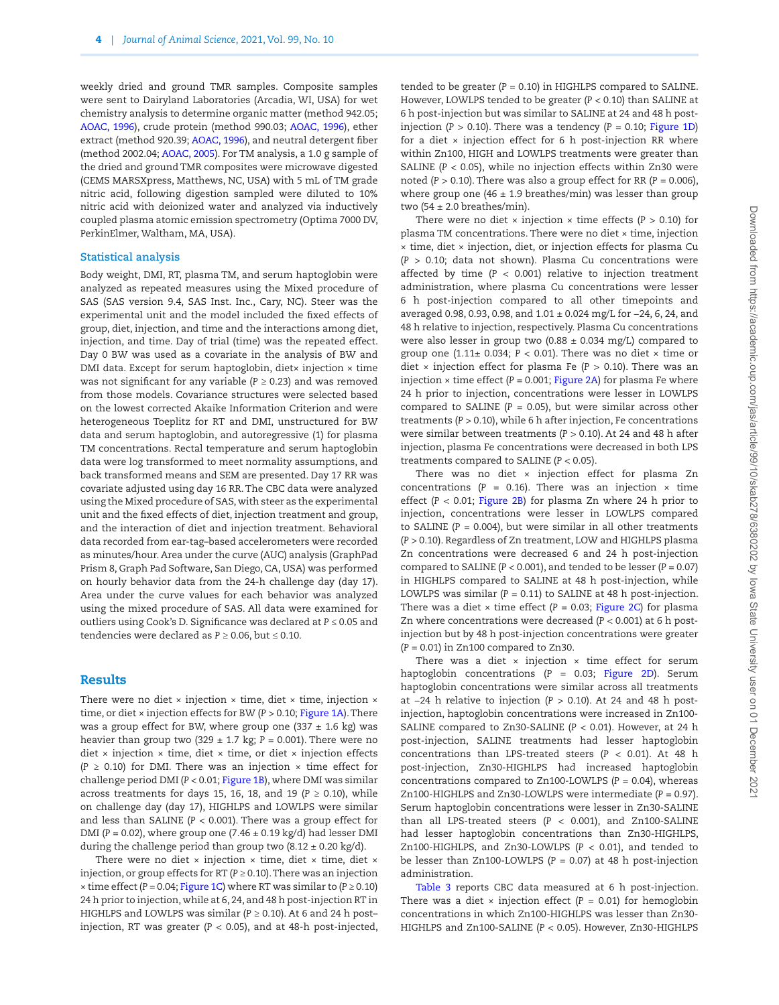weekly dried and ground TMR samples. Composite samples were sent to Dairyland Laboratories (Arcadia, WI, USA) for wet chemistry analysis to determine organic matter (method 942.05; [AOAC, 1996\)](#page-8-12), crude protein (method 990.03; [AOAC, 1996\)](#page-8-12), ether extract (method 920.39; [AOAC, 1996](#page-8-12)), and neutral detergent fiber (method 2002.04; [AOAC, 2005\)](#page-8-13). For TM analysis, a 1.0 g sample of the dried and ground TMR composites were microwave digested (CEMS MARSXpress, Matthews, NC, USA) with 5 mL of TM grade nitric acid, following digestion sampled were diluted to 10% nitric acid with deionized water and analyzed via inductively coupled plasma atomic emission spectrometry (Optima 7000 DV, PerkinElmer, Waltham, MA, USA).

#### **Statistical analysis**

Body weight, DMI, RT, plasma TM, and serum haptoglobin were analyzed as repeated measures using the Mixed procedure of SAS (SAS version 9.4, SAS Inst. Inc., Cary, NC). Steer was the experimental unit and the model included the fixed effects of group, diet, injection, and time and the interactions among diet, injection, and time. Day of trial (time) was the repeated effect. Day 0 BW was used as a covariate in the analysis of BW and DMI data. Except for serum haptoglobin, diet× injection × time was not significant for any variable ( $P \ge 0.23$ ) and was removed from those models. Covariance structures were selected based on the lowest corrected Akaike Information Criterion and were heterogeneous Toeplitz for RT and DMI, unstructured for BW data and serum haptoglobin, and autoregressive (1) for plasma TM concentrations. Rectal temperature and serum haptoglobin data were log transformed to meet normality assumptions, and back transformed means and SEM are presented. Day 17 RR was covariate adjusted using day 16 RR. The CBC data were analyzed using the Mixed procedure of SAS, with steer as the experimental unit and the fixed effects of diet, injection treatment and group, and the interaction of diet and injection treatment. Behavioral data recorded from ear-tag–based accelerometers were recorded as minutes/hour. Area under the curve (AUC) analysis (GraphPad Prism 8, Graph Pad Software, San Diego, CA, USA) was performed on hourly behavior data from the 24-h challenge day (day 17). Area under the curve values for each behavior was analyzed using the mixed procedure of SAS. All data were examined for outliers using Cook's D. Significance was declared at *P* ≤ 0.05 and tendencies were declared as  $P \ge 0.06$ , but  $\le 0.10$ .

# Results

There were no diet  $\times$  injection  $\times$  time, diet  $\times$  time, injection  $\times$ time, or diet × injection effects for BW (*P* > 0.10; [Figure 1A](#page-4-0)). There was a group effect for BW, where group one (337  $\pm$  1.6 kg) was heavier than group two  $(329 \pm 1.7 \text{ kg}; P = 0.001)$ . There were no diet × injection × time, diet × time, or diet × injection effects  $(P \ge 0.10)$  for DMI. There was an injection  $\times$  time effect for challenge period DMI (*P* < 0.01; [Figure 1B](#page-4-0)), where DMI was similar across treatments for days 15, 16, 18, and 19 ( $P \ge 0.10$ ), while on challenge day (day 17), HIGHLPS and LOWLPS were similar and less than SALINE (*P* < 0.001). There was a group effect for DMI ( $P = 0.02$ ), where group one (7.46  $\pm$  0.19 kg/d) had lesser DMI during the challenge period than group two  $(8.12 \pm 0.20 \text{ kg/d}).$ 

There were no diet  $\times$  injection  $\times$  time, diet  $\times$  time, diet  $\times$ injection, or group effects for RT ( $P \ge 0.10$ ). There was an injection  $\times$  time effect ( $P = 0.04$ ; [Figure 1C](#page-4-0)) where RT was similar to ( $P \ge 0.10$ ) 24 h prior to injection, while at 6, 24, and 48 h post-injection RT in HIGHLPS and LOWLPS was similar (*P ≥* 0.10). At 6 and 24 h post– injection, RT was greater  $(P < 0.05)$ , and at 48-h post-injected,

tended to be greater  $(P = 0.10)$  in HIGHLPS compared to SALINE. However, LOWLPS tended to be greater (*P* < 0.10) than SALINE at 6 h post-injection but was similar to SALINE at 24 and 48 h postinjection  $(P > 0.10)$ . There was a tendency  $(P = 0.10;$  [Figure 1D\)](#page-4-0) for a diet  $\times$  injection effect for 6 h post-injection RR where within Zn100, HIGH and LOWLPS treatments were greater than SALINE (*P* < 0.05), while no injection effects within Zn30 were noted (*P* > 0.10). There was also a group effect for RR (*P* = 0.006), where group one (46  $\pm$  1.9 breathes/min) was lesser than group two (54  $\pm$  2.0 breathes/min).

There were no diet  $\times$  injection  $\times$  time effects ( $P > 0.10$ ) for plasma TM concentrations. There were no diet × time, injection × time, diet × injection, diet, or injection effects for plasma Cu (*P* > 0.10; data not shown). Plasma Cu concentrations were affected by time  $(P < 0.001)$  relative to injection treatment administration, where plasma Cu concentrations were lesser 6 h post-injection compared to all other timepoints and averaged 0.98, 0.93, 0.98, and 1.01 ± 0.024 mg/L for −24, 6, 24, and 48 h relative to injection, respectively. Plasma Cu concentrations were also lesser in group two (0.88  $\pm$  0.034 mg/L) compared to group one (1.11 $\pm$  0.034;  $P < 0.01$ ). There was no diet  $\times$  time or diet × injection effect for plasma Fe (*P* > 0.10). There was an injection  $\times$  time effect ( $P = 0.001$ ; [Figure 2A](#page-5-0)) for plasma Fe where 24 h prior to injection, concentrations were lesser in LOWLPS compared to SALINE ( $P = 0.05$ ), but were similar across other treatments (*P* > 0.10), while 6 h after injection, Fe concentrations were similar between treatments (*P* > 0.10). At 24 and 48 h after injection, plasma Fe concentrations were decreased in both LPS treatments compared to SALINE (*P* < 0.05).

There was no diet  $\times$  injection effect for plasma Zn concentrations ( $P = 0.16$ ). There was an injection  $\times$  time effect  $(P < 0.01$ ; [Figure 2B\)](#page-5-0) for plasma Zn where 24 h prior to injection, concentrations were lesser in LOWLPS compared to SALINE  $(P = 0.004)$ , but were similar in all other treatments (*P* > 0.10). Regardless of Zn treatment, LOW and HIGHLPS plasma Zn concentrations were decreased 6 and 24 h post-injection compared to SALINE (*P* < 0.001), and tended to be lesser (*P* = 0.07) in HIGHLPS compared to SALINE at 48 h post-injection, while LOWLPS was similar (*P* = 0.11) to SALINE at 48 h post-injection. There was a diet  $\times$  time effect ( $P = 0.03$ ; [Figure 2C\)](#page-5-0) for plasma Zn where concentrations were decreased (*P* < 0.001) at 6 h postinjection but by 48 h post-injection concentrations were greater (*P* = 0.01) in Zn100 compared to Zn30.

There was a diet  $\times$  injection  $\times$  time effect for serum haptoglobin concentrations (*P* = 0.03; [Figure 2D](#page-5-0)). Serum haptoglobin concentrations were similar across all treatments at −24 h relative to injection (*P* > 0.10). At 24 and 48 h postinjection, haptoglobin concentrations were increased in Zn100- SALINE compared to Zn30-SALINE (*P* < 0.01). However, at 24 h post-injection, SALINE treatments had lesser haptoglobin concentrations than LPS-treated steers (*P* < 0.01). At 48 h post-injection, Zn30-HIGHLPS had increased haptoglobin concentrations compared to Zn100-LOWLPS (*P* = 0.04), whereas Zn100-HIGHLPS and Zn30-LOWLPS were intermediate (*P* = 0.97). Serum haptoglobin concentrations were lesser in Zn30-SALINE than all LPS-treated steers (*P* < 0.001), and Zn100-SALINE had lesser haptoglobin concentrations than Zn30-HIGHLPS, Zn100-HIGHLPS, and Zn30-LOWLPS (*P* < 0.01), and tended to be lesser than Zn100-LOWLPS (*P* = 0.07) at 48 h post-injection administration.

[Table 3](#page-5-1) reports CBC data measured at 6 h post-injection. There was a diet  $\times$  injection effect ( $P = 0.01$ ) for hemoglobin concentrations in which Zn100-HIGHLPS was lesser than Zn30- HIGHLPS and Zn100-SALINE (*P* < 0.05). However, Zn30-HIGHLPS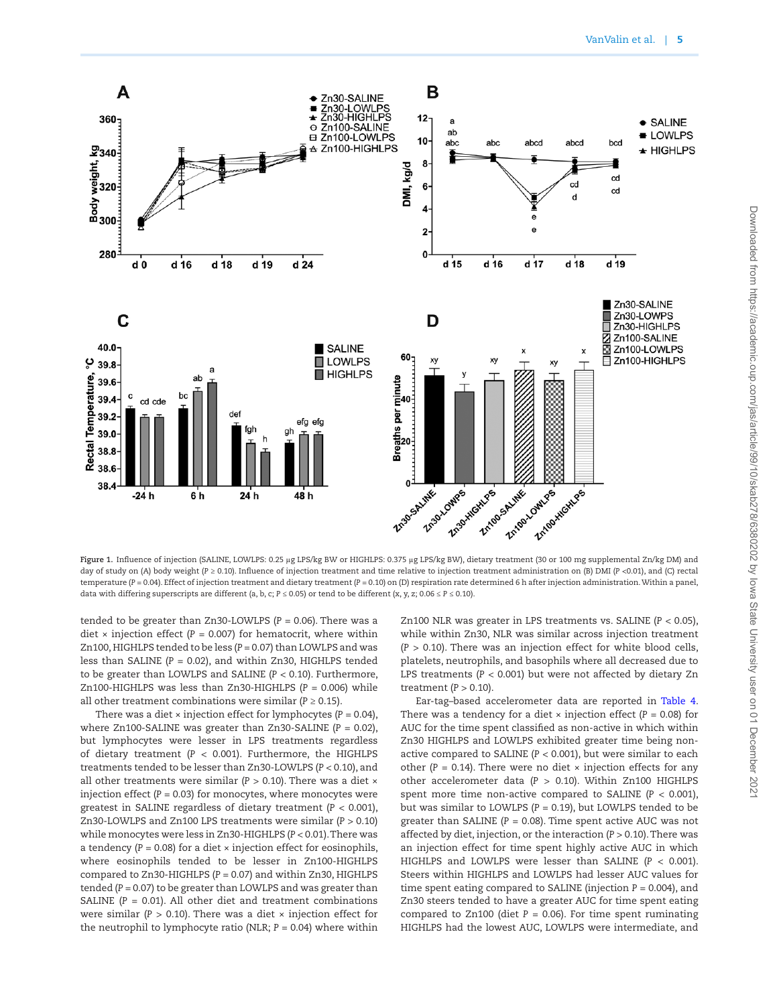

<span id="page-4-0"></span>**Figure 1.** Influence of injection (SALINE, LOWLPS: 0.25 μg LPS/kg BW or HIGHLPS: 0.375 μg LPS/kg BW), dietary treatment (30 or 100 mg supplemental Zn/kg DM) and day of study on (A) body weight (*P* ≥ 0.10). Influence of injection treatment and time relative to injection treatment administration on (B) DMI (*P* <0.01), and (C) rectal temperature (*P* = 0.04). Effect of injection treatment and dietary treatment (*P* = 0.10) on (D) respiration rate determined 6 h after injection administration. Within a panel, data with differing superscripts are different (a, b, c; *P* ≤ 0.05) or tend to be different (x, y, z; 0.06 ≤ *P* ≤ 0.10).

tended to be greater than Zn30-LOWLPS (*P* = 0.06). There was a diet  $\times$  injection effect ( $P = 0.007$ ) for hematocrit, where within Zn100, HIGHLPS tended to be less (*P* = 0.07) than LOWLPS and was less than SALINE (*P* = 0.02), and within Zn30, HIGHLPS tended to be greater than LOWLPS and SALINE (*P* < 0.10). Furthermore, Zn100-HIGHLPS was less than Zn30-HIGHLPS (*P* = 0.006) while all other treatment combinations were similar ( $P \ge 0.15$ ).

There was a diet  $\times$  injection effect for lymphocytes ( $P = 0.04$ ), where Zn100-SALINE was greater than Zn30-SALINE (*P =* 0.02), but lymphocytes were lesser in LPS treatments regardless of dietary treatment (*P* < 0.001). Furthermore, the HIGHLPS treatments tended to be lesser than Zn30-LOWLPS (*P* < 0.10), and all other treatments were similar (*P* > 0.10). There was a diet × injection effect  $(P = 0.03)$  for monocytes, where monocytes were greatest in SALINE regardless of dietary treatment (*P* < 0.001), Zn30-LOWLPS and Zn100 LPS treatments were similar (*P >* 0.10) while monocytes were less in Zn30-HIGHLPS (*P* < 0.01). There was a tendency  $(P = 0.08)$  for a diet  $\times$  injection effect for eosinophils, where eosinophils tended to be lesser in Zn100-HIGHLPS compared to Zn30-HIGHLPS (*P* = 0.07) and within Zn30, HIGHLPS tended (*P* = 0.07) to be greater than LOWLPS and was greater than SALINE ( $P = 0.01$ ). All other diet and treatment combinations were similar ( $P > 0.10$ ). There was a diet  $\times$  injection effect for the neutrophil to lymphocyte ratio (NLR; *P* = 0.04) where within

Zn100 NLR was greater in LPS treatments vs. SALINE (*P* < 0.05), while within Zn30, NLR was similar across injection treatment (*P* > 0.10). There was an injection effect for white blood cells, platelets, neutrophils, and basophils where all decreased due to LPS treatments (*P* < 0.001) but were not affected by dietary Zn treatment (*P >* 0.10).

Ear-tag–based accelerometer data are reported in [Table 4](#page-6-0). There was a tendency for a diet  $\times$  injection effect ( $P = 0.08$ ) for AUC for the time spent classified as non-active in which within Zn30 HIGHLPS and LOWLPS exhibited greater time being nonactive compared to SALINE (*P* < 0.001), but were similar to each other  $(P = 0.14)$ . There were no diet  $\times$  injection effects for any other accelerometer data (*P* > 0.10). Within Zn100 HIGHLPS spent more time non-active compared to SALINE  $(P < 0.001)$ , but was similar to LOWLPS (*P* = 0.19), but LOWLPS tended to be greater than SALINE (*P* = 0.08). Time spent active AUC was not affected by diet, injection, or the interaction (*P* > 0.10). There was an injection effect for time spent highly active AUC in which HIGHLPS and LOWLPS were lesser than SALINE (*P* < 0.001). Steers within HIGHLPS and LOWLPS had lesser AUC values for time spent eating compared to SALINE (injection  $P = 0.004$ ), and Zn30 steers tended to have a greater AUC for time spent eating compared to Zn100 (diet  $P = 0.06$ ). For time spent ruminating HIGHLPS had the lowest AUC, LOWLPS were intermediate, and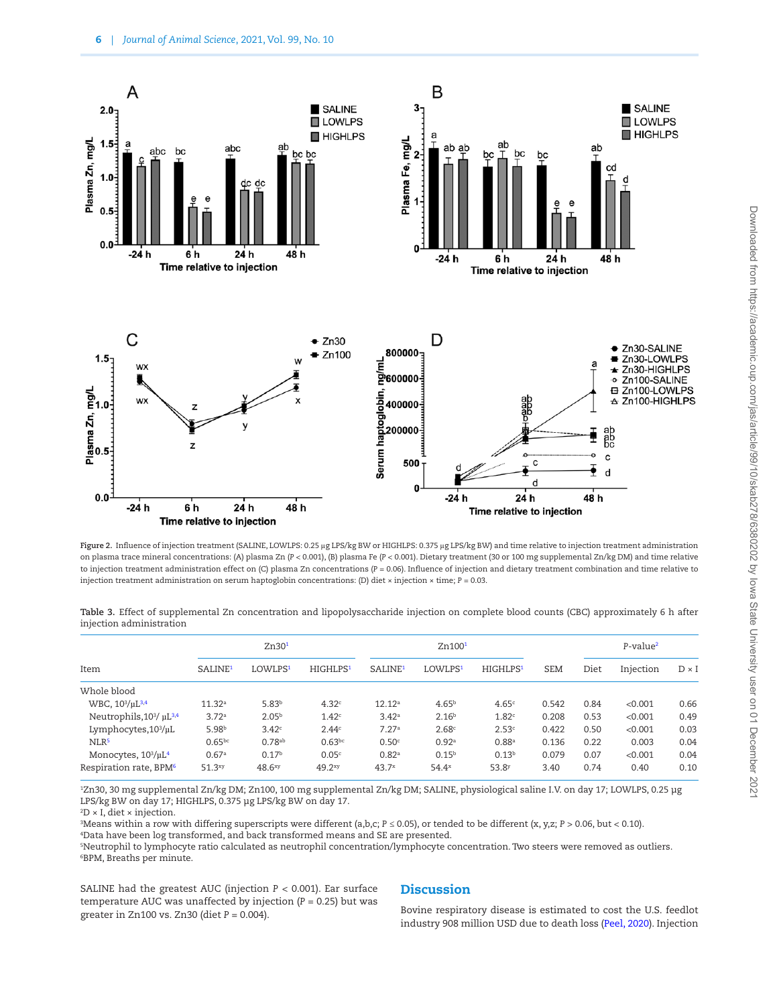

<span id="page-5-0"></span>**Figure 2.** Influence of injection treatment (SALINE, LOWLPS: 0.25 μg LPS/kg BW or HIGHLPS: 0.375 μg LPS/kg BW) and time relative to injection treatment administration on plasma trace mineral concentrations: (A) plasma Zn (*P* < 0.001), (B) plasma Fe (*P* < 0.001). Dietary treatment (30 or 100 mg supplemental Zn/kg DM) and time relative to injection treatment administration effect on (C) plasma Zn concentrations (*P* = 0.06). Influence of injection and dietary treatment combination and time relative to injection treatment administration on serum haptoglobin concentrations: (D) diet × injection × time; *P* = 0.03.

<span id="page-5-1"></span>**Table 3.** Effect of supplemental Zn concentration and lipopolysaccharide injection on complete blood counts (CBC) approximately 6 h after injection administration

| Item                                             | Zn30 <sup>1</sup>   |                     |                      | Zn100 <sup>1</sup>  |                     |                      |            | P-value <sup>2</sup> |           |              |
|--------------------------------------------------|---------------------|---------------------|----------------------|---------------------|---------------------|----------------------|------------|----------------------|-----------|--------------|
|                                                  | SALINE <sup>1</sup> | LOWLPS <sup>1</sup> | HIGHLPS <sup>1</sup> | SALINE <sup>1</sup> | LOWLPS <sup>1</sup> | HIGHLPS <sup>1</sup> | <b>SEM</b> | Diet                 | Injection | $D \times I$ |
| Whole blood                                      |                     |                     |                      |                     |                     |                      |            |                      |           |              |
| WBC, $10^3/\mu L^{3,4}$                          | $11.32^a$           | 5.83 <sup>b</sup>   | 4.32 <sup>c</sup>    | $12.12^a$           | $4.65^{b}$          | 4.65c                | 0.542      | 0.84                 | < 0.001   | 0.66         |
| Neutrophils, 10 <sup>3</sup> / µL <sup>3,4</sup> | 3.72a               | 2.05 <sup>b</sup>   | 1.42 <sup>c</sup>    | 3.42 <sup>a</sup>   | 2.16 <sup>b</sup>   | 1.82c                | 0.208      | 0.53                 | < 0.001   | 0.49         |
| Lymphocytes, $10^3/\mu L$                        | 5.98 <sup>b</sup>   | 3.42c               | 2.44c                | 7.27a               | 2.68c               | 2.53c                | 0.422      | 0.50                 | < 0.001   | 0.03         |
| NLR <sup>5</sup>                                 | $0.65^{bc}$         | $0.78^{ab}$         | $0.63^{bc}$          | 0.50 <sup>c</sup>   | 0.92 <sup>a</sup>   | 0.88 <sup>a</sup>    | 0.136      | 0.22                 | 0.003     | 0.04         |
| Monocytes, 10 <sup>3</sup> /µL <sup>4</sup>      | 0.67a               | 0.17 <sup>b</sup>   | 0.05c                | 0.82 <sup>a</sup>   | 0.15 <sup>b</sup>   | 0.13 <sup>b</sup>    | 0.079      | 0.07                 | < 0.001   | 0.04         |
| Respiration rate, BPM <sup>6</sup>               | 51.3xy              | 48.6 <sup>xy</sup>  | 49.2 <sup>xy</sup>   | $43.7^{x}$          | $54.4^x$            | 53.8 <sup>y</sup>    | 3.40       | 0.74                 | 0.40      | 0.10         |

<span id="page-5-2"></span>1 Zn30, 30 mg supplemental Zn/kg DM; Zn100, 100 mg supplemental Zn/kg DM; SALINE, physiological saline I.V. on day 17; LOWLPS, 0.25 μg LPS/kg BW on day 17; HIGHLPS, 0.375 μg LPS/kg BW on day 17.

<span id="page-5-3"></span> $\rm ^2D \times I$ , diet  $\times$  injection.

<span id="page-5-4"></span>3 Means within a row with differing superscripts were different (a,b,c; *P* ≤ 0.05), or tended to be different (x, y,z; *P* > 0.06, but < 0.10).

<span id="page-5-5"></span>4 Data have been log transformed, and back transformed means and SE are presented.

<span id="page-5-7"></span><span id="page-5-6"></span>5 Neutrophil to lymphocyte ratio calculated as neutrophil concentration/lymphocyte concentration. Two steers were removed as outliers. 6 BPM, Breaths per minute.

SALINE had the greatest AUC (injection *P* < 0.001). Ear surface temperature AUC was unaffected by injection (*P* = 0.25) but was greater in Zn100 vs. Zn30 (diet *P* = 0.004).

# **Discussion**

Bovine respiratory disease is estimated to cost the U.S. feedlot industry 908 million USD due to death loss [\(Peel, 2020](#page-8-14)). Injection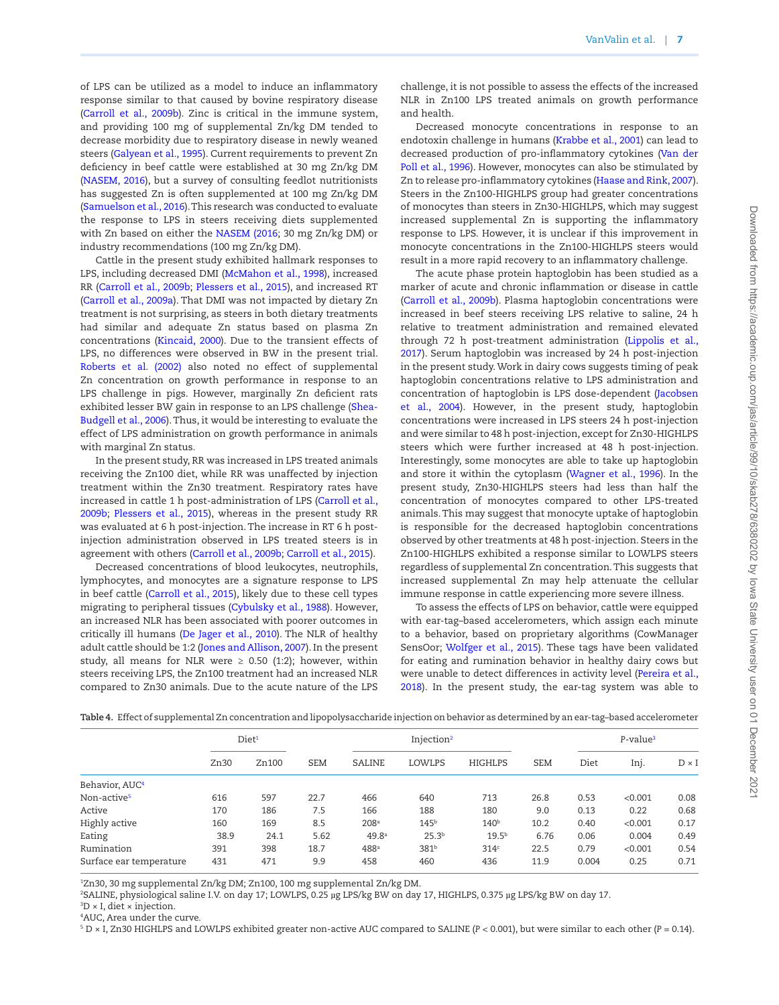of LPS can be utilized as a model to induce an inflammatory response similar to that caused by bovine respiratory disease [\(Carroll et al., 2009b](#page-8-5)). Zinc is critical in the immune system, and providing 100 mg of supplemental Zn/kg DM tended to decrease morbidity due to respiratory disease in newly weaned steers [\(Galyean et al., 1995](#page-8-15)). Current requirements to prevent Zn deficiency in beef cattle were established at 30 mg Zn/kg DM [\(NASEM, 2016](#page-8-11)), but a survey of consulting feedlot nutritionists has suggested Zn is often supplemented at 100 mg Zn/kg DM [\(Samuelson et al., 2016](#page-9-4)). This research was conducted to evaluate the response to LPS in steers receiving diets supplemented with Zn based on either the [NASEM \(2016](#page-8-11); 30 mg Zn/kg DM) or industry recommendations (100 mg Zn/kg DM).

Cattle in the present study exhibited hallmark responses to LPS, including decreased DMI ([McMahon et al., 1998](#page-8-16)), increased RR ([Carroll et al., 2009b](#page-8-5); [Plessers et al., 2015\)](#page-8-17), and increased RT [\(Carroll et al., 2009a](#page-8-18)). That DMI was not impacted by dietary Zn treatment is not surprising, as steers in both dietary treatments had similar and adequate Zn status based on plasma Zn concentrations ([Kincaid, 2000\)](#page-8-19). Due to the transient effects of LPS, no differences were observed in BW in the present trial. [Roberts et al. \(2002\)](#page-9-6) also noted no effect of supplemental Zn concentration on growth performance in response to an LPS challenge in pigs. However, marginally Zn deficient rats exhibited lesser BW gain in response to an LPS challenge [\(Shea-](#page-9-7)[Budgell et al., 2006\)](#page-9-7). Thus, it would be interesting to evaluate the effect of LPS administration on growth performance in animals with marginal Zn status.

In the present study, RR was increased in LPS treated animals receiving the Zn100 diet, while RR was unaffected by injection treatment within the Zn30 treatment. Respiratory rates have increased in cattle 1 h post-administration of LPS [\(Carroll et al.,](#page-8-5) [2009b](#page-8-5); [Plessers et al., 2015\)](#page-8-17), whereas in the present study RR was evaluated at 6 h post-injection. The increase in RT 6 h postinjection administration observed in LPS treated steers is in agreement with others [\(Carroll et al., 2009b](#page-8-5); [Carroll et al., 2015](#page-8-20)).

Decreased concentrations of blood leukocytes, neutrophils, lymphocytes, and monocytes are a signature response to LPS in beef cattle ([Carroll et al., 2015\)](#page-8-20), likely due to these cell types migrating to peripheral tissues [\(Cybulsky et al., 1988](#page-8-21)). However, an increased NLR has been associated with poorer outcomes in critically ill humans ([De Jager et al., 2010\)](#page-8-22). The NLR of healthy adult cattle should be 1:2 ([Jones and Allison, 2007\)](#page-8-23). In the present study, all means for NLR were  $\geq$  0.50 (1:2); however, within steers receiving LPS, the Zn100 treatment had an increased NLR compared to Zn30 animals. Due to the acute nature of the LPS

challenge, it is not possible to assess the effects of the increased NLR in Zn100 LPS treated animals on growth performance and health.

Decreased monocyte concentrations in response to an endotoxin challenge in humans [\(Krabbe et al., 2001\)](#page-8-24) can lead to decreased production of pro-inflammatory cytokines ([Van der](#page-9-8) [Poll et al., 1996\)](#page-9-8). However, monocytes can also be stimulated by Zn to release pro-inflammatory cytokines [\(Haase and Rink, 2007\)](#page-8-25). Steers in the Zn100-HIGHLPS group had greater concentrations of monocytes than steers in Zn30-HIGHLPS, which may suggest increased supplemental Zn is supporting the inflammatory response to LPS. However, it is unclear if this improvement in monocyte concentrations in the Zn100-HIGHLPS steers would result in a more rapid recovery to an inflammatory challenge.

The acute phase protein haptoglobin has been studied as a marker of acute and chronic inflammation or disease in cattle [\(Carroll et al., 2009b\)](#page-8-5). Plasma haptoglobin concentrations were increased in beef steers receiving LPS relative to saline, 24 h relative to treatment administration and remained elevated through 72 h post-treatment administration ([Lippolis et al.,](#page-8-26) [2017\)](#page-8-26). Serum haptoglobin was increased by 24 h post-injection in the present study. Work in dairy cows suggests timing of peak haptoglobin concentrations relative to LPS administration and concentration of haptoglobin is LPS dose-dependent ([Jacobsen](#page-8-27) [et al., 2004\)](#page-8-27). However, in the present study, haptoglobin concentrations were increased in LPS steers 24 h post-injection and were similar to 48 h post-injection, except for Zn30-HIGHLPS steers which were further increased at 48 h post-injection. Interestingly, some monocytes are able to take up haptoglobin and store it within the cytoplasm ([Wagner et al., 1996](#page-9-9)). In the present study, Zn30-HIGHLPS steers had less than half the concentration of monocytes compared to other LPS-treated animals. This may suggest that monocyte uptake of haptoglobin is responsible for the decreased haptoglobin concentrations observed by other treatments at 48 h post-injection. Steers in the Zn100-HIGHLPS exhibited a response similar to LOWLPS steers regardless of supplemental Zn concentration. This suggests that increased supplemental Zn may help attenuate the cellular immune response in cattle experiencing more severe illness.

To assess the effects of LPS on behavior, cattle were equipped with ear-tag–based accelerometers, which assign each minute to a behavior, based on proprietary algorithms (CowManager SensOor; Wolfger et al., 2015). These tags have been validated for eating and rumination behavior in healthy dairy cows but were unable to detect differences in activity level ([Pereira et al.,](#page-8-4) [2018\)](#page-8-4). In the present study, the ear-tag system was able to

<span id="page-6-0"></span>

| <b>Table 4.</b> Effect of supplemental Zn concentration and lipopolysaccharide injection on behavior as determined by an ear-tag-based accelerometer |  |  |  |  |
|------------------------------------------------------------------------------------------------------------------------------------------------------|--|--|--|--|
|------------------------------------------------------------------------------------------------------------------------------------------------------|--|--|--|--|

|                            | Diet <sup>1</sup> |       |            | Injection <sup>2</sup> |                   |                   |            | $P$ -value <sup>3</sup> |         |              |
|----------------------------|-------------------|-------|------------|------------------------|-------------------|-------------------|------------|-------------------------|---------|--------------|
|                            | Zn30              | Zn100 | <b>SEM</b> | <b>SALINE</b>          | LOWLPS            | HIGHLPS           | <b>SEM</b> | Diet                    | Inj.    | $D \times I$ |
| Behavior, AUC <sup>4</sup> |                   |       |            |                        |                   |                   |            |                         |         |              |
| Non-active <sup>5</sup>    | 616               | 597   | 22.7       | 466                    | 640               | 713               | 26.8       | 0.53                    | < 0.001 | 0.08         |
| Active                     | 170               | 186   | 7.5        | 166                    | 188               | 180               | 9.0        | 0.13                    | 0.22    | 0.68         |
| Highly active              | 160               | 169   | 8.5        | 208 <sup>a</sup>       | 145 <sup>b</sup>  | 140 <sup>b</sup>  | 10.2       | 0.40                    | < 0.001 | 0.17         |
| Eating                     | 38.9              | 24.1  | 5.62       | 49.8 <sup>a</sup>      | 25.3 <sup>b</sup> | 19.5 <sup>b</sup> | 6.76       | 0.06                    | 0.004   | 0.49         |
| Rumination                 | 391               | 398   | 18.7       | 488 <sup>a</sup>       | 381 <sup>b</sup>  | 314 <sup>c</sup>  | 22.5       | 0.79                    | < 0.001 | 0.54         |
| Surface ear temperature    | 431               | 471   | 9.9        | 458                    | 460               | 436               | 11.9       | 0.004                   | 0.25    | 0.71         |

<span id="page-6-1"></span>1 Zn30, 30 mg supplemental Zn/kg DM; Zn100, 100 mg supplemental Zn/kg DM.

<span id="page-6-2"></span>2 SALINE, physiological saline I.V. on day 17; LOWLPS, 0.25 µg LPS/kg BW on day 17, HIGHLPS, 0.375 µg LPS/kg BW on day 17.

<span id="page-6-3"></span> ${}^3D \times I$ , diet  $\times$  injection.

<span id="page-6-4"></span>4 AUC, Area under the curve.

<span id="page-6-5"></span>5 D × I, Zn30 HIGHLPS and LOWLPS exhibited greater non-active AUC compared to SALINE (*P* < 0.001), but were similar to each other (*P* = 0.14).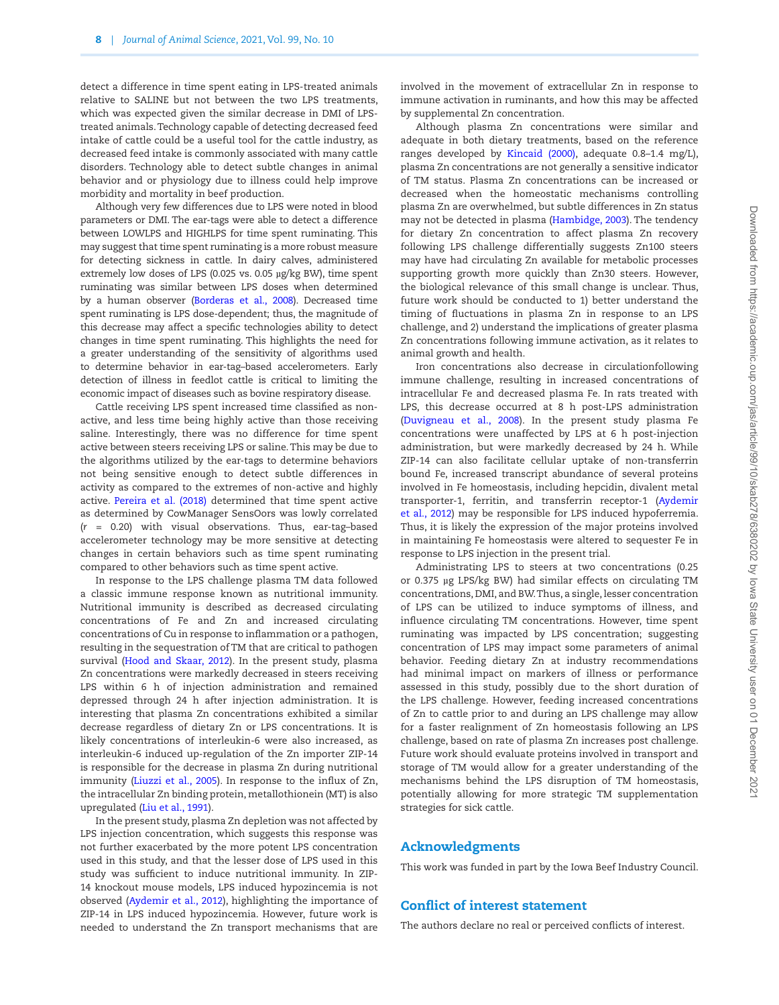detect a difference in time spent eating in LPS-treated animals relative to SALINE but not between the two LPS treatments, which was expected given the similar decrease in DMI of LPStreated animals. Technology capable of detecting decreased feed intake of cattle could be a useful tool for the cattle industry, as decreased feed intake is commonly associated with many cattle disorders. Technology able to detect subtle changes in animal behavior and or physiology due to illness could help improve morbidity and mortality in beef production.

Although very few differences due to LPS were noted in blood parameters or DMI. The ear-tags were able to detect a difference between LOWLPS and HIGHLPS for time spent ruminating. This may suggest that time spent ruminating is a more robust measure for detecting sickness in cattle. In dairy calves, administered extremely low doses of LPS (0.025 vs. 0.05 µg/kg BW), time spent ruminating was similar between LPS doses when determined by a human observer ([Borderas et al., 2008\)](#page-8-28). Decreased time spent ruminating is LPS dose-dependent; thus, the magnitude of this decrease may affect a specific technologies ability to detect changes in time spent ruminating. This highlights the need for a greater understanding of the sensitivity of algorithms used to determine behavior in ear-tag–based accelerometers. Early detection of illness in feedlot cattle is critical to limiting the economic impact of diseases such as bovine respiratory disease.

Cattle receiving LPS spent increased time classified as nonactive, and less time being highly active than those receiving saline. Interestingly, there was no difference for time spent active between steers receiving LPS or saline. This may be due to the algorithms utilized by the ear-tags to determine behaviors not being sensitive enough to detect subtle differences in activity as compared to the extremes of non-active and highly active. [Pereira et al. \(2018\)](#page-8-4) determined that time spent active as determined by CowManager SensOors was lowly correlated (*r* = 0.20) with visual observations. Thus, ear-tag–based accelerometer technology may be more sensitive at detecting changes in certain behaviors such as time spent ruminating compared to other behaviors such as time spent active.

In response to the LPS challenge plasma TM data followed a classic immune response known as nutritional immunity. Nutritional immunity is described as decreased circulating concentrations of Fe and Zn and increased circulating concentrations of Cu in response to inflammation or a pathogen, resulting in the sequestration of TM that are critical to pathogen survival [\(Hood and Skaar, 2012](#page-8-29)). In the present study, plasma Zn concentrations were markedly decreased in steers receiving LPS within 6 h of injection administration and remained depressed through 24 h after injection administration. It is interesting that plasma Zn concentrations exhibited a similar decrease regardless of dietary Zn or LPS concentrations. It is likely concentrations of interleukin-6 were also increased, as interleukin-6 induced up-regulation of the Zn importer ZIP-14 is responsible for the decrease in plasma Zn during nutritional immunity [\(Liuzzi et al., 2005\)](#page-8-8). In response to the influx of Zn, the intracellular Zn binding protein, metallothionein (MT) is also upregulated ([Liu et al., 1991\)](#page-8-30).

In the present study, plasma Zn depletion was not affected by LPS injection concentration, which suggests this response was not further exacerbated by the more potent LPS concentration used in this study, and that the lesser dose of LPS used in this study was sufficient to induce nutritional immunity. In ZIP-14 knockout mouse models, LPS induced hypozincemia is not observed [\(Aydemir et al., 2012](#page-8-9)), highlighting the importance of ZIP-14 in LPS induced hypozincemia. However, future work is needed to understand the Zn transport mechanisms that are

involved in the movement of extracellular Zn in response to immune activation in ruminants, and how this may be affected by supplemental Zn concentration.

Although plasma Zn concentrations were similar and adequate in both dietary treatments, based on the reference ranges developed by [Kincaid \(2000\),](#page-8-19) adequate 0.8–1.4 mg/L), plasma Zn concentrations are not generally a sensitive indicator of TM status. Plasma Zn concentrations can be increased or decreased when the homeostatic mechanisms controlling plasma Zn are overwhelmed, but subtle differences in Zn status may not be detected in plasma [\(Hambidge, 2003\)](#page-8-31). The tendency for dietary Zn concentration to affect plasma Zn recovery following LPS challenge differentially suggests Zn100 steers may have had circulating Zn available for metabolic processes supporting growth more quickly than Zn30 steers. However, the biological relevance of this small change is unclear. Thus, future work should be conducted to 1) better understand the timing of fluctuations in plasma Zn in response to an LPS challenge, and 2) understand the implications of greater plasma Zn concentrations following immune activation, as it relates to animal growth and health.

Iron concentrations also decrease in circulationfollowing immune challenge, resulting in increased concentrations of intracellular Fe and decreased plasma Fe. In rats treated with LPS, this decrease occurred at 8 h post-LPS administration [\(Duvigneau et al., 2008](#page-8-32)). In the present study plasma Fe concentrations were unaffected by LPS at 6 h post-injection administration, but were markedly decreased by 24 h. While ZIP-14 can also facilitate cellular uptake of non-transferrin bound Fe, increased transcript abundance of several proteins involved in Fe homeostasis, including hepcidin, divalent metal transporter-1, ferritin, and transferrin receptor-1 ([Aydemir](#page-8-9) [et al., 2012](#page-8-9)) may be responsible for LPS induced hypoferremia. Thus, it is likely the expression of the major proteins involved in maintaining Fe homeostasis were altered to sequester Fe in response to LPS injection in the present trial.

Administrating LPS to steers at two concentrations (0.25 or 0.375 µg LPS/kg BW) had similar effects on circulating TM concentrations, DMI, and BW. Thus, a single, lesser concentration of LPS can be utilized to induce symptoms of illness, and influence circulating TM concentrations. However, time spent ruminating was impacted by LPS concentration; suggesting concentration of LPS may impact some parameters of animal behavior. Feeding dietary Zn at industry recommendations had minimal impact on markers of illness or performance assessed in this study, possibly due to the short duration of the LPS challenge. However, feeding increased concentrations of Zn to cattle prior to and during an LPS challenge may allow for a faster realignment of Zn homeostasis following an LPS challenge, based on rate of plasma Zn increases post challenge. Future work should evaluate proteins involved in transport and storage of TM would allow for a greater understanding of the mechanisms behind the LPS disruption of TM homeostasis, potentially allowing for more strategic TM supplementation strategies for sick cattle.

# Acknowledgments

This work was funded in part by the Iowa Beef Industry Council.

## Conflict of interest statement

The authors declare no real or perceived conflicts of interest.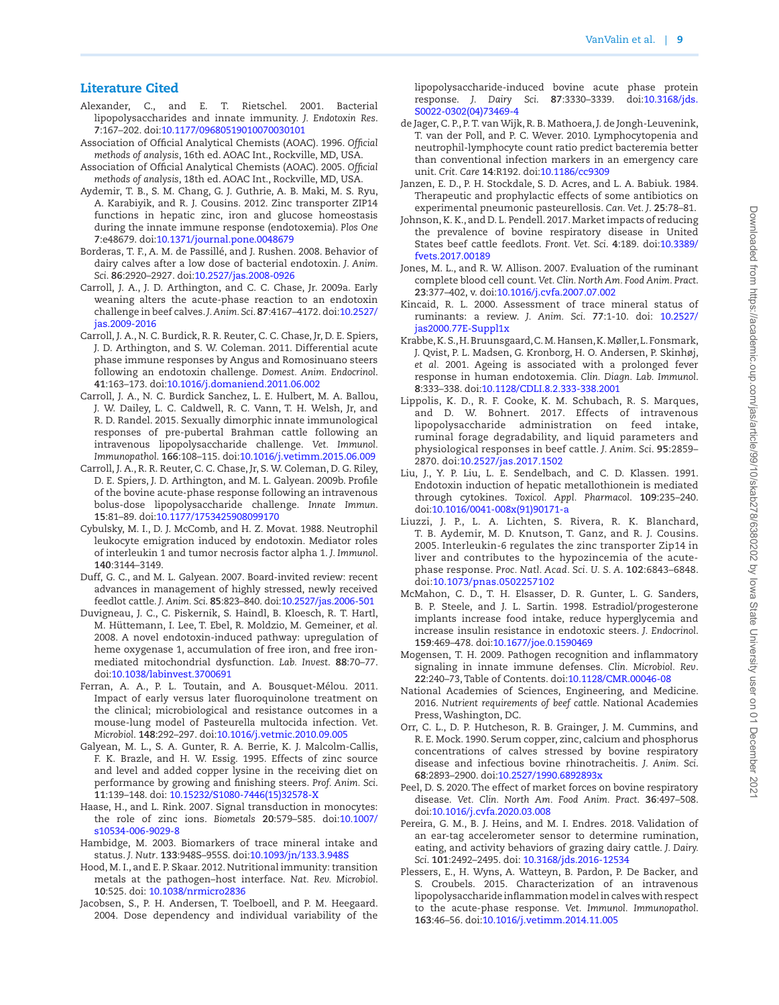# Literature Cited

- <span id="page-8-6"></span>Alexander, C., and E. T. Rietschel. 2001. Bacterial lipopolysaccharides and innate immunity. *J. Endotoxin Res*. **7**:167–202. doi:[10.1177/09680519010070030101](https://doi.org/10.1177/09680519010070030101)
- <span id="page-8-12"></span>Association of Official Analytical Chemists (AOAC). 1996. *Official methods of analysis*, 16th ed. AOAC Int., Rockville, MD, USA.
- <span id="page-8-13"></span>Association of Official Analytical Chemists (AOAC). 2005. *Official methods of analysis*, 18th ed. AOAC Int., Rockville, MD, USA.
- <span id="page-8-9"></span>Aydemir, T. B., S. M. Chang, G. J. Guthrie, A. B. Maki, M. S. Ryu, A. Karabiyik, and R. J. Cousins. 2012. Zinc transporter ZIP14 functions in hepatic zinc, iron and glucose homeostasis during the innate immune response (endotoxemia). *Plos One* **7**:e48679. doi[:10.1371/journal.pone.0048679](https://doi.org/10.1371/journal.pone.0048679)
- <span id="page-8-28"></span>Borderas, T. F., A. M. de Passillé, and J. Rushen. 2008. Behavior of dairy calves after a low dose of bacterial endotoxin. *J. Anim. Sci*. **86**:2920–2927. doi[:10.2527/jas.2008-0926](https://doi.org/10.2527/jas.2008-0926)
- <span id="page-8-18"></span>Carroll, J. A., J. D. Arthington, and C. C. Chase, Jr. 2009a. Early weaning alters the acute-phase reaction to an endotoxin challenge in beef calves. *J. Anim. Sci*. **87**:4167–4172. doi[:10.2527/](https://doi.org/10.2527/jas.2009-2016) [jas.2009-2016](https://doi.org/10.2527/jas.2009-2016)
- Carroll, J. A., N. C. Burdick, R. R. Reuter, C. C. Chase, Jr, D. E. Spiers, J. D. Arthington, and S. W. Coleman. 2011. Differential acute phase immune responses by Angus and Romosinuano steers following an endotoxin challenge. *Domest. Anim. Endocrinol*. **41**:163–173. doi[:10.1016/j.domaniend.2011.06.002](https://doi.org/10.1016/j.domaniend.2011.06.002)
- <span id="page-8-20"></span>Carroll, J. A., N. C. Burdick Sanchez, L. E. Hulbert, M. A. Ballou, J. W. Dailey, L. C. Caldwell, R. C. Vann, T. H. Welsh, Jr, and R. D. Randel. 2015. Sexually dimorphic innate immunological responses of pre-pubertal Brahman cattle following an intravenous lipopolysaccharide challenge. *Vet. Immunol. Immunopathol*. **166**:108–115. doi:[10.1016/j.vetimm.2015.06.009](https://doi.org/10.1016/j.vetimm.2015.06.009)
- <span id="page-8-5"></span>Carroll, J. A., R. R. Reuter, C. C. Chase, Jr, S. W. Coleman, D. G. Riley, D. E. Spiers, J. D. Arthington, and M. L. Galyean. 2009b. Profile of the bovine acute-phase response following an intravenous bolus-dose lipopolysaccharide challenge. *Innate Immun*. **15**:81–89. doi[:10.1177/1753425908099170](https://doi.org/10.1177/1753425908099170)
- <span id="page-8-21"></span>Cybulsky, M. I., D. J. McComb, and H. Z. Movat. 1988. Neutrophil leukocyte emigration induced by endotoxin. Mediator roles of interleukin 1 and tumor necrosis factor alpha 1. *J. Immunol*. **140**:3144–3149.
- <span id="page-8-0"></span>Duff, G. C., and M. L. Galyean. 2007. Board-invited review: recent advances in management of highly stressed, newly received feedlot cattle. *J. Anim. Sci*. **85**:823–840. doi[:10.2527/jas.2006-501](https://doi.org/10.2527/jas.2006-501)
- <span id="page-8-32"></span>Duvigneau, J. C., C. Piskernik, S. Haindl, B. Kloesch, R. T. Hartl, M. Hüttemann, I. Lee, T. Ebel, R. Moldzio, M. Gemeiner, *et al.* 2008. A novel endotoxin-induced pathway: upregulation of heme oxygenase 1, accumulation of free iron, and free ironmediated mitochondrial dysfunction. *Lab. Invest*. **88**:70–77. doi:[10.1038/labinvest.3700691](https://doi.org/10.1038/labinvest.3700691)
- <span id="page-8-3"></span>Ferran, A. A., P. L. Toutain, and A. Bousquet-Mélou. 2011. Impact of early versus later fluoroquinolone treatment on the clinical; microbiological and resistance outcomes in a mouse-lung model of Pasteurella multocida infection. *Vet. Microbiol*. **148**:292–297. doi:[10.1016/j.vetmic.2010.09.005](https://doi.org/10.1016/j.vetmic.2010.09.005)
- <span id="page-8-15"></span>Galyean, M. L., S. A. Gunter, R. A. Berrie, K. J. Malcolm-Callis, F. K. Brazle, and H. W. Essig. 1995. Effects of zinc source and level and added copper lysine in the receiving diet on performance by growing and finishing steers. *Prof. Anim. Sci*. **11**:139–148. doi: [10.15232/S1080-7446\(15\)32578-X](https://doi.org/10.15232/S1080-7446(15)32578-X)
- <span id="page-8-25"></span>Haase, H., and L. Rink. 2007. Signal transduction in monocytes: the role of zinc ions. *Biometals* **20**:579–585. doi[:10.1007/](https://doi.org/10.1007/s10534-006-9029-8) [s10534-006-9029-8](https://doi.org/10.1007/s10534-006-9029-8)
- <span id="page-8-31"></span>Hambidge, M. 2003. Biomarkers of trace mineral intake and status. *J. Nutr*. **133**:948S–955S. doi:[10.1093/jn/133.3.948S](https://doi.org/10.1093/jn/133.3.948S)
- <span id="page-8-29"></span>Hood, M. I., and E. P. Skaar. 2012. Nutritional immunity: transition metals at the pathogen–host interface. *Nat. Rev. Microbiol*. **10**:525. doi: [10.1038/nrmicro2836](https://doi.org/10.1038/nrmicro2836)
- <span id="page-8-27"></span>Jacobsen, S., P. H. Andersen, T. Toelboell, and P. M. Heegaard. 2004. Dose dependency and individual variability of the

lipopolysaccharide-induced bovine acute phase protein response. *J. Dairy Sci*. **87**:3330–3339. doi[:10.3168/jds.](https://doi.org/10.3168/jds.S0022-0302(04)73469-4) [S0022-0302\(04\)73469-4](https://doi.org/10.3168/jds.S0022-0302(04)73469-4)

- <span id="page-8-22"></span>de Jager, C. P., P. T. van Wijk, R. B. Mathoera, J. de Jongh-Leuvenink, T. van der Poll, and P. C. Wever. 2010. Lymphocytopenia and neutrophil-lymphocyte count ratio predict bacteremia better than conventional infection markers in an emergency care unit. *Crit. Care* **14**:R192. doi[:10.1186/cc9309](https://doi.org/10.1186/cc9309)
- <span id="page-8-2"></span>Janzen, E. D., P. H. Stockdale, S. D. Acres, and L. A. Babiuk. 1984. Therapeutic and prophylactic effects of some antibiotics on experimental pneumonic pasteurellosis. *Can. Vet. J*. **25**:78–81.
- <span id="page-8-1"></span>Johnson, K. K., and D. L. Pendell. 2017. Market impacts of reducing the prevalence of bovine respiratory disease in United States beef cattle feedlots. *Front. Vet. Sci*. **4**:189. doi[:10.3389/](https://doi.org/10.3389/fvets.2017.00189) [fvets.2017.00189](https://doi.org/10.3389/fvets.2017.00189)
- <span id="page-8-23"></span>Jones, M. L., and R. W. Allison. 2007. Evaluation of the ruminant complete blood cell count. *Vet. Clin. North Am. Food Anim. Pract*. **23**:377–402, v. doi:[10.1016/j.cvfa.2007.07.002](https://doi.org/10.1016/j.cvfa.2007.07.002)
- <span id="page-8-19"></span>Kincaid, R. L. 2000. Assessment of trace mineral status of ruminants: a review. *J. Anim. Sci*. **77**:1-10. doi: [10.2527/](https://doi.org/10.2527/jas2000.77E-Suppl1x) [jas2000.77E-Suppl1x](https://doi.org/10.2527/jas2000.77E-Suppl1x)
- <span id="page-8-24"></span>Krabbe, K. S., H. Bruunsgaard, C. M. Hansen, K. Møller, L. Fonsmark, J. Qvist, P. L. Madsen, G. Kronborg, H. O. Andersen, P. Skinhøj, *et al.* 2001. Ageing is associated with a prolonged fever response in human endotoxemia. *Clin. Diagn. Lab. Immunol*. **8**:333–338. doi:[10.1128/CDLI.8.2.333-338.2001](https://doi.org/10.1128/CDLI.8.2.333-338.2001)
- <span id="page-8-26"></span>Lippolis, K. D., R. F. Cooke, K. M. Schubach, R. S. Marques, and D. W. Bohnert. 2017. Effects of intravenous lipopolysaccharide administration on feed intake, ruminal forage degradability, and liquid parameters and physiological responses in beef cattle. *J. Anim. Sci*. **95**:2859– 2870. doi:[10.2527/jas.2017.1502](https://doi.org/10.2527/jas.2017.1502)
- <span id="page-8-30"></span>Liu, J., Y. P. Liu, L. E. Sendelbach, and C. D. Klassen. 1991. Endotoxin induction of hepatic metallothionein is mediated through cytokines. *Toxicol. Appl. Pharmacol*. **109**:235–240. doi:[10.1016/0041-008x\(91\)90171-a](https://doi.org/10.1016/0041-008x(91)90171-a)
- <span id="page-8-8"></span>Liuzzi, J. P., L. A. Lichten, S. Rivera, R. K. Blanchard, T. B. Aydemir, M. D. Knutson, T. Ganz, and R. J. Cousins. 2005. Interleukin-6 regulates the zinc transporter Zip14 in liver and contributes to the hypozincemia of the acutephase response. *Proc. Natl. Acad. Sci. U. S. A*. **102**:6843–6848. doi:[10.1073/pnas.0502257102](https://doi.org/10.1073/pnas.0502257102)
- <span id="page-8-16"></span>McMahon, C. D., T. H. Elsasser, D. R. Gunter, L. G. Sanders, B. P. Steele, and J. L. Sartin. 1998. Estradiol/progesterone implants increase food intake, reduce hyperglycemia and increase insulin resistance in endotoxic steers. *J. Endocrinol*. **159**:469–478. doi:[10.1677/joe.0.1590469](https://doi.org/10.1677/joe.0.1590469)
- <span id="page-8-7"></span>Mogensen, T. H. 2009. Pathogen recognition and inflammatory signaling in innate immune defenses. *Clin. Microbiol. Rev*. **22**:240–73, Table of Contents. doi:[10.1128/CMR.00046-08](https://doi.org/10.1128/CMR.00046-08)
- <span id="page-8-11"></span>National Academies of Sciences, Engineering, and Medicine. 2016. *Nutrient requirements of beef cattle*. National Academies Press, Washington, DC.
- <span id="page-8-10"></span>Orr, C. L., D. P. Hutcheson, R. B. Grainger, J. M. Cummins, and R. E. Mock. 1990. Serum copper, zinc, calcium and phosphorus concentrations of calves stressed by bovine respiratory disease and infectious bovine rhinotracheitis. *J. Anim. Sci*. **68**:2893–2900. doi:[10.2527/1990.6892893x](https://doi.org/10.2527/1990.6892893x)
- <span id="page-8-14"></span>Peel, D. S. 2020. The effect of market forces on bovine respiratory disease. *Vet. Clin. North Am. Food Anim. Pract*. **36**:497–508. doi:[10.1016/j.cvfa.2020.03.008](https://doi.org/10.1016/j.cvfa.2020.03.008)
- <span id="page-8-4"></span>Pereira, G. M., B. J. Heins, and M. I. Endres. 2018. Validation of an ear-tag accelerometer sensor to determine rumination, eating, and activity behaviors of grazing dairy cattle. *J. Dairy. Sci*. **101**:2492–2495. doi: [10.3168/jds.2016-12534](https://doi.org/10.3168/jds.2016-12534)
- <span id="page-8-17"></span>Plessers, E., H. Wyns, A. Watteyn, B. Pardon, P. De Backer, and S. Croubels. 2015. Characterization of an intravenous lipopolysaccharide inflammation model in calves with respect to the acute-phase response. *Vet. Immunol. Immunopathol*. **163**:46–56. doi[:10.1016/j.vetimm.2014.11.005](https://doi.org/10.1016/j.vetimm.2014.11.005)